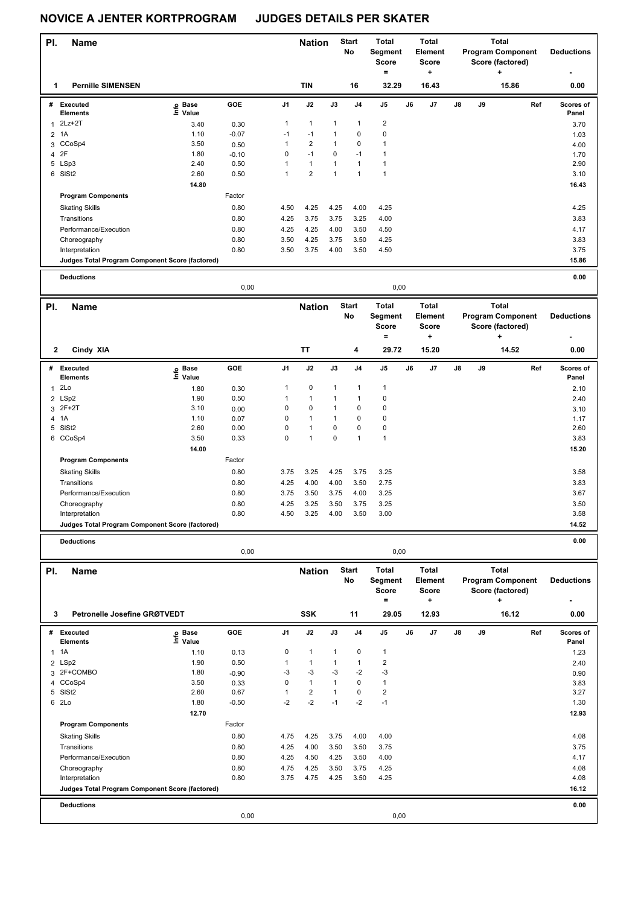|                         | <b>NOVICE A JENTER KORTPROGRAM</b>                                |                   |                 | <b>JUDGES DETAILS PER SKATER</b> |                                 |                              |                    |                                                |    |                                              |    |    |                                                              |     |                    |
|-------------------------|-------------------------------------------------------------------|-------------------|-----------------|----------------------------------|---------------------------------|------------------------------|--------------------|------------------------------------------------|----|----------------------------------------------|----|----|--------------------------------------------------------------|-----|--------------------|
| PI.                     | <b>Name</b>                                                       |                   |                 |                                  | <b>Nation</b>                   |                              | <b>Start</b><br>No | <b>Total</b><br>Segment<br><b>Score</b><br>$=$ |    | <b>Total</b><br>Element<br><b>Score</b><br>٠ |    |    | <b>Total</b><br><b>Program Component</b><br>Score (factored) |     | <b>Deductions</b>  |
| 1                       | <b>Pernille SIMENSEN</b>                                          |                   |                 |                                  | <b>TIN</b>                      |                              | 16                 | 32.29                                          |    | 16.43                                        |    |    | 15.86                                                        |     | 0.00               |
|                         | # Executed                                                        | e Base<br>⊑ Value | GOE             | J1                               | J2                              | J3                           | J4                 | J5                                             | J6 | J7                                           | J8 | J9 |                                                              | Ref | Scores of          |
|                         | Elements                                                          |                   |                 | $\mathbf{1}$                     | $\mathbf{1}$                    | $\mathbf{1}$                 | 1                  | 2                                              |    |                                              |    |    |                                                              |     | Panel              |
|                         | $1$ 2Lz+2T                                                        | 3.40              | 0.30            |                                  |                                 |                              | $\mathbf 0$        | 0                                              |    |                                              |    |    |                                                              |     | 3.70               |
| $\overline{\mathbf{c}}$ | 1A                                                                | 1.10              | $-0.07$         | $-1$<br>$\mathbf{1}$             | $-1$<br>$\overline{\mathbf{c}}$ | $\mathbf{1}$<br>$\mathbf{1}$ | 0                  |                                                |    |                                              |    |    |                                                              |     | 1.03               |
| 4 2F                    | 3 CCoSp4                                                          | 3.50<br>1.80      | 0.50            | $\mathbf 0$                      | $-1$                            | 0                            | $-1$               | 1<br>1                                         |    |                                              |    |    |                                                              |     | 4.00               |
|                         | 5 LSp3                                                            | 2.40              | $-0.10$<br>0.50 | $\mathbf{1}$                     | $\mathbf{1}$                    | $\mathbf{1}$                 | 1                  | $\mathbf{1}$                                   |    |                                              |    |    |                                                              |     | 1.70<br>2.90       |
|                         | 6 SISt2                                                           | 2.60              | 0.50            | $\mathbf{1}$                     | $\overline{2}$                  | $\mathbf{1}$                 | $\mathbf{1}$       | $\mathbf{1}$                                   |    |                                              |    |    |                                                              |     | 3.10               |
|                         |                                                                   | 14.80             |                 |                                  |                                 |                              |                    |                                                |    |                                              |    |    |                                                              |     | 16.43              |
|                         | <b>Program Components</b>                                         |                   | Factor          |                                  |                                 |                              |                    |                                                |    |                                              |    |    |                                                              |     |                    |
|                         | <b>Skating Skills</b>                                             |                   | 0.80            | 4.50                             | 4.25                            | 4.25                         | 4.00               | 4.25                                           |    |                                              |    |    |                                                              |     | 4.25               |
|                         | Transitions                                                       |                   | 0.80            | 4.25                             | 3.75                            | 3.75                         | 3.25               | 4.00                                           |    |                                              |    |    |                                                              |     | 3.83               |
|                         | Performance/Execution                                             |                   | 0.80            | 4.25                             | 4.25                            | 4.00                         | 3.50               | 4.50                                           |    |                                              |    |    |                                                              |     | 4.17               |
|                         | Choreography                                                      |                   | 0.80            |                                  | 4.25                            |                              |                    | 4.25                                           |    |                                              |    |    |                                                              |     | 3.83               |
|                         |                                                                   |                   | 0.80            | 3.50<br>3.50                     |                                 | 3.75                         | 3.50<br>3.50       |                                                |    |                                              |    |    |                                                              |     | 3.75               |
|                         | Interpretation<br>Judges Total Program Component Score (factored) |                   |                 |                                  | 3.75                            | 4.00                         |                    | 4.50                                           |    |                                              |    |    |                                                              |     | 15.86              |
|                         |                                                                   |                   |                 |                                  |                                 |                              |                    |                                                |    |                                              |    |    |                                                              |     |                    |
|                         | <b>Deductions</b>                                                 |                   | 0,00            |                                  |                                 |                              |                    | 0,00                                           |    |                                              |    |    |                                                              |     | 0.00               |
|                         |                                                                   |                   |                 |                                  |                                 |                              |                    | <b>Total</b>                                   |    | Total                                        |    |    | <b>Total</b>                                                 |     |                    |
| PI.                     | <b>Name</b>                                                       |                   |                 |                                  | <b>Nation</b>                   |                              | <b>Start</b><br>No | Segment<br><b>Score</b>                        |    | Element<br><b>Score</b>                      |    |    | <b>Program Component</b><br>Score (factored)                 |     | <b>Deductions</b>  |
|                         |                                                                   |                   |                 |                                  |                                 |                              |                    | $\equiv$                                       |    | ٠                                            |    |    | ÷                                                            |     |                    |
| 2                       | Cindy XIA                                                         |                   |                 |                                  | TT                              |                              | 4                  | 29.72                                          |    | 15.20                                        |    |    | 14.52                                                        |     | 0.00               |
|                         | # Executed<br>Elements                                            | e Base<br>E Value | GOE             | J1                               | J2                              | J3                           | J4                 | J5                                             | J6 | J7                                           | J8 | J9 |                                                              | Ref | Scores of<br>Panel |
| 1                       | 2Lo                                                               | 1.80              | 0.30            | $\mathbf{1}$                     | 0                               | 1                            | 1                  | 1                                              |    |                                              |    |    |                                                              |     | 2.10               |
|                         | 2 LSp2                                                            | 1.90              | 0.50            | $\mathbf{1}$                     | $\mathbf{1}$                    | $\mathbf{1}$                 | $\mathbf{1}$       | 0                                              |    |                                              |    |    |                                                              |     | 2.40               |
|                         | 3 2F+2T                                                           | 3.10              | 0.00            | $\mathbf 0$                      | $\mathbf 0$                     | $\mathbf{1}$                 | 0                  | 0                                              |    |                                              |    |    |                                                              |     | 3.10               |
| 4 1A                    |                                                                   | 1.10              | 0.07            | $\mathbf 0$                      | $\mathbf{1}$                    | $\mathbf{1}$                 | 0                  | 0                                              |    |                                              |    |    |                                                              |     | 1.17               |
|                         | 5 SISt2                                                           | 2.60              | 0.00            | $\mathbf 0$                      | $\mathbf{1}$                    | 0                            | 0                  | 0                                              |    |                                              |    |    |                                                              |     | 2.60               |
|                         | 6 CCoSp4                                                          | 3.50              | 0.33            | $\mathbf 0$                      | $\mathbf{1}$                    | 0                            | $\mathbf{1}$       | 1                                              |    |                                              |    |    |                                                              |     | 3.83               |
|                         |                                                                   | 14.00             |                 |                                  |                                 |                              |                    |                                                |    |                                              |    |    |                                                              |     | 15.20              |
|                         | <b>Program Components</b>                                         |                   | Factor          |                                  |                                 |                              |                    |                                                |    |                                              |    |    |                                                              |     |                    |
|                         | <b>Skating Skills</b>                                             |                   | 0.80            | 3.75                             | 3.25                            | 4.25                         | 3.75               | 3.25                                           |    |                                              |    |    |                                                              |     | 3.58               |
|                         | Transitions                                                       |                   | 0.80            | 4.25                             | 4.00                            | 4.00                         | 3.50               | 2.75                                           |    |                                              |    |    |                                                              |     | 3.83               |
|                         | Performance/Execution                                             |                   | 0.80            | 3.75                             | 3.50                            | 3.75                         | 4.00               | 3.25                                           |    |                                              |    |    |                                                              |     | 3.67               |
|                         | Choreography                                                      |                   | 0.80            | 4.25                             | 3.25                            | 3.50                         | 3.75               | 3.25                                           |    |                                              |    |    |                                                              |     | 3.50               |
|                         | Interpretation                                                    |                   | 0.80            | 4.50                             | 3.25                            | 4.00                         | 3.50               | 3.00                                           |    |                                              |    |    |                                                              |     | 3.58               |
|                         | Judges Total Program Component Score (factored)                   |                   |                 |                                  |                                 |                              |                    |                                                |    |                                              |    |    |                                                              |     | 14.52              |
|                         | <b>Deductions</b>                                                 |                   |                 |                                  |                                 |                              |                    |                                                |    |                                              |    |    |                                                              |     | 0.00               |
|                         |                                                                   |                   | 0,00            |                                  |                                 |                              |                    | 0,00                                           |    |                                              |    |    |                                                              |     |                    |
| PI.                     | Name                                                              |                   |                 |                                  | <b>Nation</b>                   |                              | <b>Start</b>       | Total                                          |    | Total                                        |    |    | <b>Total</b>                                                 |     |                    |
|                         |                                                                   |                   |                 |                                  |                                 |                              | No                 | Segment<br><b>Score</b>                        |    | Element<br><b>Score</b>                      |    |    | <b>Program Component</b><br>Score (factored)                 |     | <b>Deductions</b>  |
|                         |                                                                   |                   |                 |                                  |                                 |                              |                    | $\equiv$                                       |    | ٠                                            |    |    | ٠                                                            |     |                    |
| 3                       | Petronelle Josefine GRØTVEDT                                      |                   |                 |                                  | SSK                             |                              | 11                 | 29.05                                          |    | 12.93                                        |    |    | 16.12                                                        |     | 0.00               |
|                         | # Executed                                                        |                   | GOE             | J1                               | J2                              | J3                           | J4                 | J5                                             | J6 | J7                                           | J8 | J9 |                                                              | Ref | Scores of          |
|                         | Elements                                                          | e Base<br>⊑ Value |                 |                                  |                                 |                              |                    |                                                |    |                                              |    |    |                                                              |     | Panel              |
| 1 1 A                   |                                                                   | 1.10              | 0.13            | 0                                | $\mathbf{1}$                    | 1                            | 0                  | 1                                              |    |                                              |    |    |                                                              |     | 1.23               |
|                         | 2 LSp2                                                            | 1.90              | 0.50            | $\mathbf{1}$                     | $\mathbf{1}$                    | $\mathbf{1}$                 | 1                  | 2                                              |    |                                              |    |    |                                                              |     | 2.40               |
|                         | 3 2F+COMBO                                                        | 1.80              | $-0.90$         | -3                               | -3                              | -3                           | -2                 | -3                                             |    |                                              |    |    |                                                              |     | 0.90               |
|                         | 4 CCoSp4                                                          | 3.50              | 0.33            | 0                                | $\mathbf{1}$                    | $\mathbf{1}$                 | 0                  | $\mathbf{1}$                                   |    |                                              |    |    |                                                              |     | 3.83               |
|                         | 5 SISt2                                                           | 2.60              | 0.67            | $\mathbf{1}$                     | $\overline{\mathbf{c}}$         | $\mathbf{1}$                 | 0                  | 2                                              |    |                                              |    |    |                                                              |     | 3.27               |
| 6 2Lo                   |                                                                   | 1.80              | $-0.50$         | $-2$                             | $-2$                            | $-1$                         | $-2$               | $-1$                                           |    |                                              |    |    |                                                              |     | 1.30               |
|                         |                                                                   | 12.70             |                 |                                  |                                 |                              |                    |                                                |    |                                              |    |    |                                                              |     | 12.93              |
|                         | <b>Program Components</b>                                         |                   | Factor          |                                  |                                 |                              |                    |                                                |    |                                              |    |    |                                                              |     |                    |

|                                                 | 0,00   |      |      |      |      | 0,00 |       |
|-------------------------------------------------|--------|------|------|------|------|------|-------|
| <b>Deductions</b>                               |        |      |      |      |      |      | 0.00  |
| Judges Total Program Component Score (factored) |        |      |      |      |      |      | 16.12 |
| Interpretation                                  | 0.80   | 3.75 | 4.75 | 4.25 | 3.50 | 4.25 | 4.08  |
| Choreography                                    | 0.80   | 4.75 | 4.25 | 3.50 | 3.75 | 4.25 | 4.08  |
| Performance/Execution                           | 0.80   | 4.25 | 4.50 | 4.25 | 3.50 | 4.00 | 4.17  |
| Transitions                                     | 0.80   | 4.25 | 4.00 | 3.50 | 3.50 | 3.75 | 3.75  |
| <b>Skating Skills</b>                           | 0.80   | 4.75 | 4.25 | 3.75 | 4.00 | 4.00 | 4.08  |
| <b>Program Components</b>                       | Factor |      |      |      |      |      |       |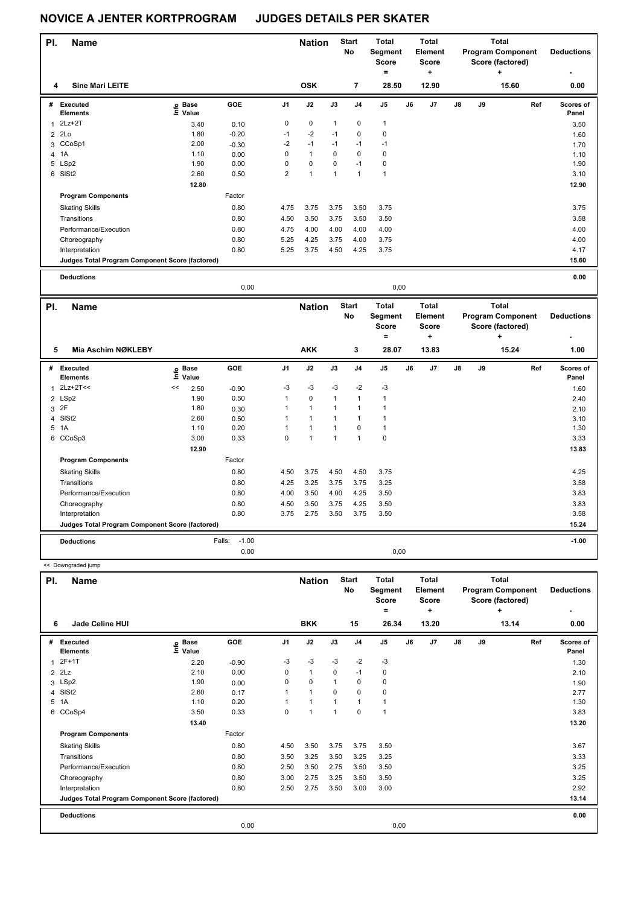<< Downgraded jump

| PI.            | Name                                            |                                  |         |                | <b>Nation</b>  |              | <b>Start</b><br>No | <b>Total</b><br>Segment<br><b>Score</b><br>٠ |    | <b>Total</b><br>Element<br><b>Score</b><br>٠ |    |    | <b>Total</b><br><b>Program Component</b><br>Score (factored)<br>٠ | <b>Deductions</b><br>۰    |
|----------------|-------------------------------------------------|----------------------------------|---------|----------------|----------------|--------------|--------------------|----------------------------------------------|----|----------------------------------------------|----|----|-------------------------------------------------------------------|---------------------------|
| 4              | <b>Sine Mari LEITE</b>                          |                                  |         |                | <b>OSK</b>     |              | $\overline{7}$     | 28.50                                        |    | 12.90                                        |    |    | 15.60                                                             | 0.00                      |
| #              | <b>Executed</b><br><b>Elements</b>              | <b>Base</b><br>e Base<br>⊑ Value | GOE     | J <sub>1</sub> | J2             | J3           | J <sub>4</sub>     | J <sub>5</sub>                               | J6 | J7                                           | J8 | J9 | Ref                                                               | <b>Scores of</b><br>Panel |
|                | $2Lz+2T$                                        | 3.40                             | 0.10    | 0              | $\mathbf 0$    | $\mathbf{1}$ | 0                  | $\mathbf{1}$                                 |    |                                              |    |    |                                                                   | 3.50                      |
| $\overline{2}$ | 2Lo                                             | 1.80                             | $-0.20$ | $-1$           | $-2$           | $-1$         | 0                  | 0                                            |    |                                              |    |    |                                                                   | 1.60                      |
|                | 3 CCoSp1                                        | 2.00                             | $-0.30$ | $-2$           | $-1$           | $-1$         | $-1$               | $-1$                                         |    |                                              |    |    |                                                                   | 1.70                      |
|                | 4 1A                                            | 1.10                             | 0.00    | 0              | $\mathbf{1}$   | 0            | 0                  | 0                                            |    |                                              |    |    |                                                                   | 1.10                      |
|                | 5 LSp2                                          | 1.90                             | 0.00    | 0              | $\pmb{0}$      | 0            | $-1$               | 0                                            |    |                                              |    |    |                                                                   | 1.90                      |
|                | 6 SISt2                                         | 2.60                             | 0.50    | $\overline{2}$ | $\overline{1}$ | $\mathbf{1}$ |                    | $\mathbf{1}$                                 |    |                                              |    |    |                                                                   | 3.10                      |
|                |                                                 | 12.80                            |         |                |                |              |                    |                                              |    |                                              |    |    |                                                                   | 12.90                     |
|                | <b>Program Components</b>                       |                                  | Factor  |                |                |              |                    |                                              |    |                                              |    |    |                                                                   |                           |
|                | <b>Skating Skills</b>                           |                                  | 0.80    | 4.75           | 3.75           | 3.75         | 3.50               | 3.75                                         |    |                                              |    |    |                                                                   | 3.75                      |
|                | Transitions                                     |                                  | 0.80    | 4.50           | 3.50           | 3.75         | 3.50               | 3.50                                         |    |                                              |    |    |                                                                   | 3.58                      |
|                | Performance/Execution                           |                                  | 0.80    | 4.75           | 4.00           | 4.00         | 4.00               | 4.00                                         |    |                                              |    |    |                                                                   | 4.00                      |
|                | Choreography                                    |                                  | 0.80    | 5.25           | 4.25           | 3.75         | 4.00               | 3.75                                         |    |                                              |    |    |                                                                   | 4.00                      |
|                | Interpretation                                  |                                  | 0.80    | 5.25           | 3.75           | 4.50         | 4.25               | 3.75                                         |    |                                              |    |    |                                                                   | 4.17                      |
|                | Judges Total Program Component Score (factored) |                                  |         |                |                |              |                    |                                              |    |                                              |    |    |                                                                   | 15.60                     |
|                | <b>Deductions</b>                               |                                  |         |                |                |              |                    |                                              |    |                                              |    |    |                                                                   | 0.00                      |

 $0.00$  $0.00$ PI. **Nation Start Total Total Total Name No** Segment Element **Program Component Deductions** Score Score Score (factored)  $\equiv$  $\ddotmark$  $\ddotmark$  $\,$  5 Mia Aschim NØKLEBY **AKK** 3 28.07 13.83 15.24  $1.00$  $\begin{array}{c}\n\bullet \\
\stackrel{\mathsf{e}}{=}\mathsf{Base} \\
\hline\n\end{array}$ Executed GOE  $J<sub>1</sub>$  $J<sub>2</sub>$  $\overline{J3}$  $J<sub>4</sub>$  $\overline{J5}$  $J7$  $\overline{J8}$  $J9$ Ref  $#$ J6 Scores of Elements Panel  $1$  2Lz+2T <<  $<< 2.50$  $-3$  $-0.90$  $-3$  $-3$  $-2$  $-3$  $1.60$ 2 LSp2  $1.90$  $0.50$  $\mathbf 1$  $\pmb{0}$  $\mathbf{1}$  $\mathbf 1$  $\mathbf 1$  $2.40$  $3\quad2F$ 1.80  $0.30$  $\overline{1}$  $\mathbf{1}$  $\overline{1}$  $2.10$  $\overline{1}$  $\overline{1}$ 4 SISt2 2.60  $0.50$  $\mathbf{1}$  $\mathbf{1}$  $\mathbf 1$  $\mathbf 1$  $\mathbf 1$  $3.10$ 5 1A  $1.10$  $0.20$  $\mathbf{1}$  $\mathbf{1}$  $\mathsf 0$  $\mathbf{1}$  $1.30$  $\mathbf 1$ 6 CCoSp3 3.33 3.00 0.33  $\mathbf 0$  $\mathbf 0$  $\overline{1}$  $\overline{1}$  $\overline{1}$ 12.90 13.83 **Program Components** Factor **Skating Skills**  $0.80$ 4.50 3.75 4.50 4.50 3.75  $4.25$ Transitions  $0.80$  $4.25$  $3.25$ 3.75 3.75  $3.25$  $3.58$ Performance/Execution 3.83 0.80 4.00 3.50 4.00 4.25 3.50 Choreography  $0.80$  $4.50$  $3.50$ 3.75  $4.25$  $3.50$ 3.83  $0.80$ 3.75 3.58 Interpretation 2.75 3.50 3.75 3.50 Judges Total Program Component Score (factored) 15.24  $-1.00$  $-1.00$ Falls: **Deductions**  $0,00$  $0,00$ 

| PI. | Name                                            |                   |            |                | <b>Nation</b>  |          | <b>Start</b><br>No | <b>Total</b><br>Segment<br><b>Score</b><br>۰ |      | <b>Total</b><br>Element<br><b>Score</b><br>÷ |               |    | <b>Total</b><br><b>Program Component</b><br>Score (factored)<br>÷ | <b>Deductions</b>  |
|-----|-------------------------------------------------|-------------------|------------|----------------|----------------|----------|--------------------|----------------------------------------------|------|----------------------------------------------|---------------|----|-------------------------------------------------------------------|--------------------|
| 6   | <b>Jade Celine HUI</b>                          |                   |            |                | <b>BKK</b>     |          | 15                 | 26.34                                        |      | 13.20                                        |               |    | 13.14                                                             | 0.00               |
| #   | Executed<br><b>Elements</b>                     | e Base<br>E Value | <b>GOE</b> | J <sub>1</sub> | J2             | J3       | J <sub>4</sub>     | J5                                           | J6   | J7                                           | $\mathsf{J}8$ | J9 | Ref                                                               | Scores of<br>Panel |
| 1   | 2F+1T                                           | 2.20              | $-0.90$    | $-3$           | $-3$           | $-3$     | $-2$               | $-3$                                         |      |                                              |               |    |                                                                   | 1.30               |
|     | $2$ $2Lz$                                       | 2.10              | 0.00       | 0              | $\mathbf{1}$   | 0        | $-1$               | 0                                            |      |                                              |               |    |                                                                   | 2.10               |
|     | 3 LSp2                                          | 1.90              | 0.00       | 0              | 0              | 1        | 0                  | 0                                            |      |                                              |               |    |                                                                   | 1.90               |
|     | 4 SISt2                                         | 2.60              | 0.17       |                | $\overline{1}$ | $\Omega$ | $\mathbf 0$        | 0                                            |      |                                              |               |    |                                                                   | 2.77               |
|     | 5 1A                                            | 1.10              | 0.20       |                |                |          | 1                  | $\overline{1}$                               |      |                                              |               |    |                                                                   | 1.30               |
|     | 6 CCoSp4                                        | 3.50              | 0.33       | 0              |                | 1        | $\mathbf 0$        | $\overline{1}$                               |      |                                              |               |    |                                                                   | 3.83               |
|     |                                                 | 13.40             |            |                |                |          |                    |                                              |      |                                              |               |    |                                                                   | 13.20              |
|     | <b>Program Components</b>                       |                   | Factor     |                |                |          |                    |                                              |      |                                              |               |    |                                                                   |                    |
|     | <b>Skating Skills</b>                           |                   | 0.80       | 4.50           | 3.50           | 3.75     | 3.75               | 3.50                                         |      |                                              |               |    |                                                                   | 3.67               |
|     | Transitions                                     |                   | 0.80       | 3.50           | 3.25           | 3.50     | 3.25               | 3.25                                         |      |                                              |               |    |                                                                   | 3.33               |
|     | Performance/Execution                           |                   | 0.80       | 2.50           | 3.50           | 2.75     | 3.50               | 3.50                                         |      |                                              |               |    |                                                                   | 3.25               |
|     | Choreography                                    |                   | 0.80       | 3.00           | 2.75           | 3.25     | 3.50               | 3.50                                         |      |                                              |               |    |                                                                   | 3.25               |
|     | Interpretation                                  |                   | 0.80       | 2.50           | 2.75           | 3.50     | 3.00               | 3.00                                         |      |                                              |               |    |                                                                   | 2.92               |
|     | Judges Total Program Component Score (factored) |                   |            |                |                |          |                    |                                              |      |                                              |               |    |                                                                   | 13.14              |
|     | <b>Deductions</b>                               |                   |            |                |                |          |                    |                                              |      |                                              |               |    |                                                                   | 0.00               |
|     |                                                 |                   | 0,00       |                |                |          |                    |                                              | 0,00 |                                              |               |    |                                                                   |                    |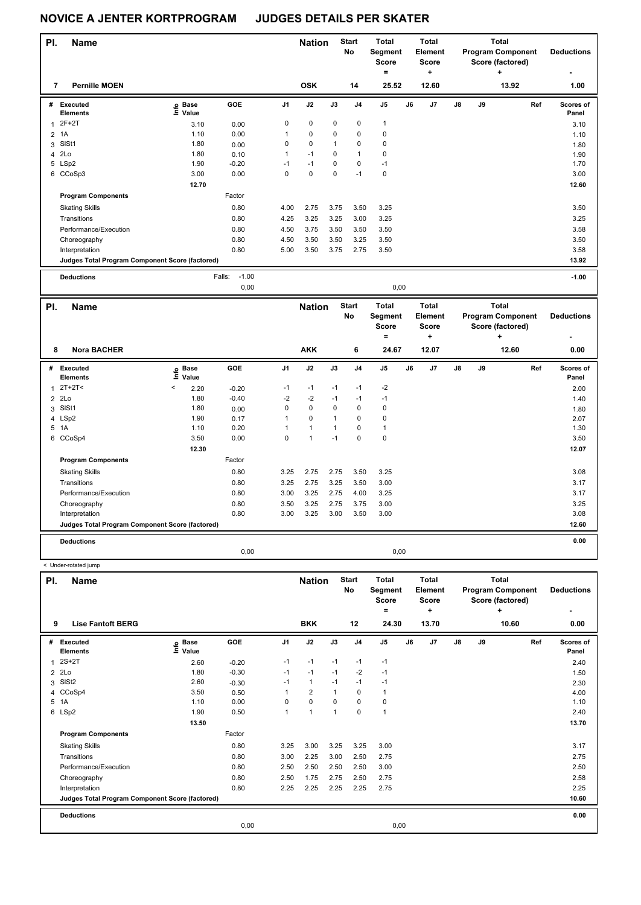< Under-rotated jump

| PI. | <b>Name</b>                                     |                                  |                   |                | <b>Nation</b> |                | <b>Start</b><br>No | Total<br>Segment<br><b>Score</b><br>= |      | Total<br>Element<br><b>Score</b><br>÷ |    |    | Total<br><b>Program Component</b><br>Score (factored)<br>٠ | <b>Deductions</b>  |
|-----|-------------------------------------------------|----------------------------------|-------------------|----------------|---------------|----------------|--------------------|---------------------------------------|------|---------------------------------------|----|----|------------------------------------------------------------|--------------------|
| 7   | <b>Pernille MOEN</b>                            |                                  |                   |                | <b>OSK</b>    |                | 14                 | 25.52                                 |      | 12.60                                 |    |    | 13.92                                                      | 1.00               |
| #   | Executed<br><b>Elements</b>                     | <b>Base</b><br>e Base<br>⊑ Value | <b>GOE</b>        | J <sub>1</sub> | J2            | J3             | J <sub>4</sub>     | J <sub>5</sub>                        | J6   | J7                                    | J8 | J9 | Ref                                                        | Scores of<br>Panel |
|     | $2F+2T$                                         | 3.10                             | 0.00              | 0              | $\mathbf 0$   | 0              | 0                  | $\mathbf{1}$                          |      |                                       |    |    |                                                            | 3.10               |
| 2   | 1A                                              | 1.10                             | 0.00              |                | $\mathbf 0$   | 0              | 0                  | 0                                     |      |                                       |    |    |                                                            | 1.10               |
| 3   | SISt1                                           | 1.80                             | 0.00              | 0              | $\mathbf 0$   | $\overline{1}$ | 0                  | 0                                     |      |                                       |    |    |                                                            | 1.80               |
|     | 4 2Lo                                           | 1.80                             | 0.10              | 1              | $-1$          | $\Omega$       |                    | 0                                     |      |                                       |    |    |                                                            | 1.90               |
|     | 5 LSp2                                          | 1.90                             | $-0.20$           | $-1$           | $-1$          | $\mathbf 0$    | 0                  | $-1$                                  |      |                                       |    |    |                                                            | 1.70               |
|     | 6 CCoSp3                                        | 3.00                             | 0.00              | 0              | $\mathbf 0$   | 0              | $-1$               | 0                                     |      |                                       |    |    |                                                            | 3.00               |
|     |                                                 | 12.70                            |                   |                |               |                |                    |                                       |      |                                       |    |    |                                                            | 12.60              |
|     | <b>Program Components</b>                       |                                  | Factor            |                |               |                |                    |                                       |      |                                       |    |    |                                                            |                    |
|     | <b>Skating Skills</b>                           |                                  | 0.80              | 4.00           | 2.75          | 3.75           | 3.50               | 3.25                                  |      |                                       |    |    |                                                            | 3.50               |
|     | Transitions                                     |                                  | 0.80              | 4.25           | 3.25          | 3.25           | 3.00               | 3.25                                  |      |                                       |    |    |                                                            | 3.25               |
|     | Performance/Execution                           |                                  | 0.80              | 4.50           | 3.75          | 3.50           | 3.50               | 3.50                                  |      |                                       |    |    |                                                            | 3.58               |
|     | Choreography                                    |                                  | 0.80              | 4.50           | 3.50          | 3.50           | 3.25               | 3.50                                  |      |                                       |    |    |                                                            | 3.50               |
|     | Interpretation                                  |                                  | 0.80              | 5.00           | 3.50          | 3.75           | 2.75               | 3.50                                  |      |                                       |    |    |                                                            | 3.58               |
|     | Judges Total Program Component Score (factored) |                                  |                   |                |               |                |                    |                                       |      |                                       |    |    |                                                            | 13.92              |
|     | <b>Deductions</b>                               |                                  | $-1.00$<br>Falls: |                |               |                |                    |                                       |      |                                       |    |    |                                                            | $-1.00$            |
|     |                                                 |                                  | 0,00              |                |               |                |                    |                                       | 0,00 |                                       |    |    |                                                            |                    |

| PI.            | <b>Name</b>                                     |       |                      |         |                | <b>Nation</b> |              | <b>Start</b><br>No | <b>Total</b><br>Segment<br><b>Score</b><br>۰ |    | <b>Total</b><br>Element<br><b>Score</b><br>٠ |    |    | <b>Total</b><br><b>Program Component</b><br>Score (factored)<br>٠ | <b>Deductions</b><br>٠    |
|----------------|-------------------------------------------------|-------|----------------------|---------|----------------|---------------|--------------|--------------------|----------------------------------------------|----|----------------------------------------------|----|----|-------------------------------------------------------------------|---------------------------|
| 8              | <b>Nora BACHER</b>                              |       |                      |         |                | <b>AKK</b>    |              | 6                  | 24.67                                        |    | 12.07                                        |    |    | 12.60                                                             | 0.00                      |
| #              | <b>Executed</b><br><b>Elements</b>              | lnfo  | <b>Base</b><br>Value | GOE     | J <sub>1</sub> | J2            | J3           | J <sub>4</sub>     | J <sub>5</sub>                               | J6 | J <sub>7</sub>                               | J8 | J9 | Ref                                                               | <b>Scores of</b><br>Panel |
| 1              | $2T+2T2$                                        | $\,<$ | 2.20                 | $-0.20$ | $-1$           | $-1$          | $-1$         | $-1$               | $-2$                                         |    |                                              |    |    |                                                                   | 2.00                      |
| $\overline{2}$ | 2Lo                                             |       | 1.80                 | $-0.40$ | $-2$           | $-2$          | $-1$         | $-1$               | $-1$                                         |    |                                              |    |    |                                                                   | 1.40                      |
| 3              | SISt1                                           |       | 1.80                 | 0.00    | 0              | $\mathbf 0$   | $\Omega$     | $\mathbf 0$        | 0                                            |    |                                              |    |    |                                                                   | 1.80                      |
|                | 4 LSp2                                          |       | 1.90                 | 0.17    | 1              | $\mathbf 0$   | $\mathbf{1}$ | 0                  | 0                                            |    |                                              |    |    |                                                                   | 2.07                      |
| 5              | 1A                                              |       | 1.10                 | 0.20    | 1              | $\mathbf{1}$  | $\mathbf{1}$ | 0                  | $\mathbf{1}$                                 |    |                                              |    |    |                                                                   | 1.30                      |
| 6              | CCoSp4                                          |       | 3.50                 | 0.00    | 0              | 1             | $-1$         | $\Omega$           | $\mathbf 0$                                  |    |                                              |    |    |                                                                   | 3.50                      |
|                |                                                 |       | 12.30                |         |                |               |              |                    |                                              |    |                                              |    |    |                                                                   | 12.07                     |
|                | <b>Program Components</b>                       |       |                      | Factor  |                |               |              |                    |                                              |    |                                              |    |    |                                                                   |                           |
|                | <b>Skating Skills</b>                           |       |                      | 0.80    | 3.25           | 2.75          | 2.75         | 3.50               | 3.25                                         |    |                                              |    |    |                                                                   | 3.08                      |
|                | Transitions                                     |       |                      | 0.80    | 3.25           | 2.75          | 3.25         | 3.50               | 3.00                                         |    |                                              |    |    |                                                                   | 3.17                      |
|                | Performance/Execution                           |       |                      | 0.80    | 3.00           | 3.25          | 2.75         | 4.00               | 3.25                                         |    |                                              |    |    |                                                                   | 3.17                      |
|                | Choreography                                    |       |                      | 0.80    | 3.50           | 3.25          | 2.75         | 3.75               | 3.00                                         |    |                                              |    |    |                                                                   | 3.25                      |
|                | Interpretation                                  |       |                      | 0.80    | 3.00           | 3.25          | 3.00         | 3.50               | 3.00                                         |    |                                              |    |    |                                                                   | 3.08                      |
|                | Judges Total Program Component Score (factored) |       |                      |         |                |               |              |                    |                                              |    |                                              |    |    |                                                                   | 12.60                     |
|                | <b>Deductions</b>                               |       |                      |         |                |               |              |                    |                                              |    |                                              |    |    |                                                                   | 0.00                      |
|                |                                                 |       |                      | 0,00    |                |               |              |                    | 0.00                                         |    |                                              |    |    |                                                                   |                           |

| PI.          | <b>Name</b>                                     |                            |         |                | <b>Nation</b>  |          | <b>Start</b><br>No | <b>Total</b><br>Segment<br><b>Score</b><br>٠ |    | <b>Total</b><br>Element<br><b>Score</b><br>٠ |               |    | <b>Total</b><br><b>Program Component</b><br>Score (factored)<br>÷ | <b>Deductions</b>  |
|--------------|-------------------------------------------------|----------------------------|---------|----------------|----------------|----------|--------------------|----------------------------------------------|----|----------------------------------------------|---------------|----|-------------------------------------------------------------------|--------------------|
| 9            | <b>Lise Fantoft BERG</b>                        |                            |         |                | <b>BKK</b>     |          | 12                 | 24.30                                        |    | 13.70                                        |               |    | 10.60                                                             | 0.00               |
| #            | Executed<br><b>Elements</b>                     | e Base<br>E Value<br>Value | GOE     | J <sub>1</sub> | J2             | J3       | J <sub>4</sub>     | J <sub>5</sub>                               | J6 | J7                                           | $\mathsf{J}8$ | J9 | Ref                                                               | Scores of<br>Panel |
| $\mathbf{1}$ | 2S+2T                                           | 2.60                       | $-0.20$ | $-1$           | $-1$           | $-1$     | $-1$               | $-1$                                         |    |                                              |               |    |                                                                   | 2.40               |
|              | $2$ 2Lo                                         | 1.80                       | $-0.30$ | $-1$           | $-1$           | $-1$     | $-2$               | $-1$                                         |    |                                              |               |    |                                                                   | 1.50               |
|              | 3 SISt2                                         | 2.60                       | $-0.30$ | -1             | $\mathbf{1}$   | $-1$     | $-1$               | $-1$                                         |    |                                              |               |    |                                                                   | 2.30               |
|              | 4 CCoSp4                                        | 3.50                       | 0.50    |                | $\overline{2}$ |          | 0                  | $\mathbf{1}$                                 |    |                                              |               |    |                                                                   | 4.00               |
|              | 5 1A                                            | 1.10                       | 0.00    | $\Omega$       | $\mathbf 0$    | $\Omega$ | 0                  | $\pmb{0}$                                    |    |                                              |               |    |                                                                   | 1.10               |
|              | 6 LSp2                                          | 1.90                       | 0.50    | 1              | $\mathbf{1}$   | 1        | 0                  | $\mathbf{1}$                                 |    |                                              |               |    |                                                                   | 2.40               |
|              |                                                 | 13.50                      |         |                |                |          |                    |                                              |    |                                              |               |    |                                                                   | 13.70              |
|              | <b>Program Components</b>                       |                            | Factor  |                |                |          |                    |                                              |    |                                              |               |    |                                                                   |                    |
|              | <b>Skating Skills</b>                           |                            | 0.80    | 3.25           | 3.00           | 3.25     | 3.25               | 3.00                                         |    |                                              |               |    |                                                                   | 3.17               |
|              | Transitions                                     |                            | 0.80    | 3.00           | 2.25           | 3.00     | 2.50               | 2.75                                         |    |                                              |               |    |                                                                   | 2.75               |
|              | Performance/Execution                           |                            | 0.80    | 2.50           | 2.50           | 2.50     | 2.50               | 3.00                                         |    |                                              |               |    |                                                                   | 2.50               |
|              | Choreography                                    |                            | 0.80    | 2.50           | 1.75           | 2.75     | 2.50               | 2.75                                         |    |                                              |               |    |                                                                   | 2.58               |
|              | Interpretation                                  |                            | 0.80    | 2.25           | 2.25           | 2.25     | 2.25               | 2.75                                         |    |                                              |               |    |                                                                   | 2.25               |
|              | Judges Total Program Component Score (factored) |                            |         |                |                |          |                    |                                              |    |                                              |               |    |                                                                   | 10.60              |
|              | <b>Deductions</b>                               |                            |         |                |                |          |                    |                                              |    |                                              |               |    |                                                                   | 0.00               |
|              |                                                 |                            | 0,00    |                |                |          |                    | 0,00                                         |    |                                              |               |    |                                                                   |                    |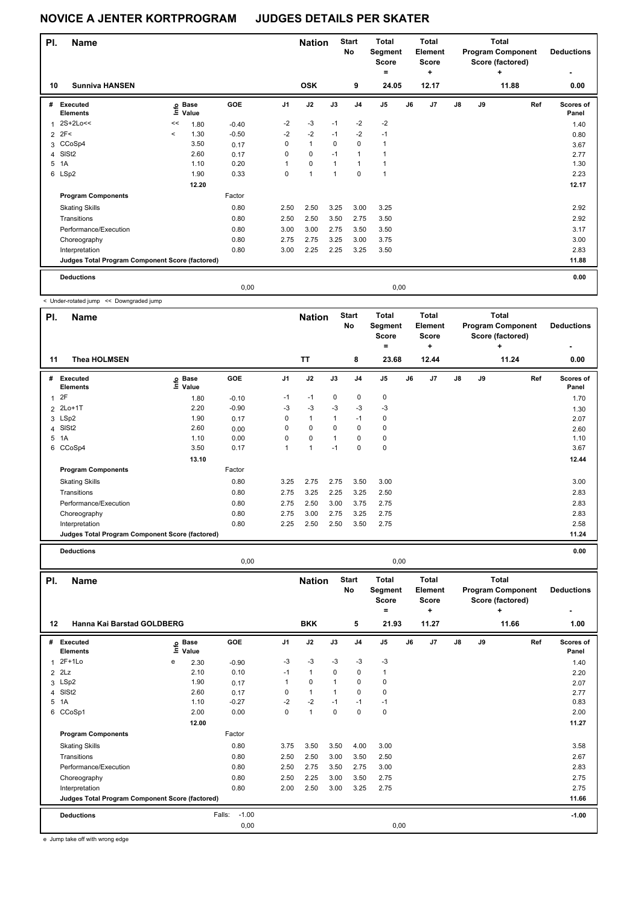| PI. | <b>Name</b>                                     |                          |                                  |         |      | <b>Nation</b>  |                | <b>Start</b><br>No | <b>Total</b><br>Segment<br><b>Score</b><br>۰ |      | Total<br>Element<br><b>Score</b><br>÷ |               |    | Total<br><b>Program Component</b><br>Score (factored)<br>٠ | <b>Deductions</b><br>٠ |
|-----|-------------------------------------------------|--------------------------|----------------------------------|---------|------|----------------|----------------|--------------------|----------------------------------------------|------|---------------------------------------|---------------|----|------------------------------------------------------------|------------------------|
| 10  | <b>Sunniva HANSEN</b>                           |                          |                                  |         |      | <b>OSK</b>     |                | 9                  | 24.05                                        |      | 12.17                                 |               |    | 11.88                                                      | 0.00                   |
| #   | Executed<br><b>Elements</b>                     |                          | <b>Base</b><br>e Base<br>⊑ Value | GOE     | J1   | J2             | J3             | J <sub>4</sub>     | J <sub>5</sub>                               | J6   | J7                                    | $\mathsf{J}8$ | J9 | Ref                                                        | Scores of<br>Panel     |
| 1   | 2S+2Lo<<                                        | <<                       | 1.80                             | $-0.40$ | $-2$ | $-3$           | $-1$           | $-2$               | $-2$                                         |      |                                       |               |    |                                                            | 1.40                   |
|     | $2$ 2F<                                         | $\overline{\phantom{a}}$ | 1.30                             | $-0.50$ | $-2$ | $-2$           | $-1$           | $-2$               | $-1$                                         |      |                                       |               |    |                                                            | 0.80                   |
|     | 3 CCoSp4                                        |                          | 3.50                             | 0.17    | 0    | $\mathbf{1}$   | $\Omega$       | $\Omega$           | 1                                            |      |                                       |               |    |                                                            | 3.67                   |
| 4   | SISt <sub>2</sub>                               |                          | 2.60                             | 0.17    | 0    | $\mathbf 0$    | $-1$           | $\overline{1}$     |                                              |      |                                       |               |    |                                                            | 2.77                   |
| 5   | 1A                                              |                          | 1.10                             | 0.20    | 1    | $\Omega$       | $\overline{1}$ |                    | 1                                            |      |                                       |               |    |                                                            | 1.30                   |
|     | 6 LSp2                                          |                          | 1.90                             | 0.33    | 0    | $\overline{1}$ | 1              | $\Omega$           | $\overline{1}$                               |      |                                       |               |    |                                                            | 2.23                   |
|     |                                                 |                          | 12.20                            |         |      |                |                |                    |                                              |      |                                       |               |    |                                                            | 12.17                  |
|     | <b>Program Components</b>                       |                          |                                  | Factor  |      |                |                |                    |                                              |      |                                       |               |    |                                                            |                        |
|     | <b>Skating Skills</b>                           |                          |                                  | 0.80    | 2.50 | 2.50           | 3.25           | 3.00               | 3.25                                         |      |                                       |               |    |                                                            | 2.92                   |
|     | Transitions                                     |                          |                                  | 0.80    | 2.50 | 2.50           | 3.50           | 2.75               | 3.50                                         |      |                                       |               |    |                                                            | 2.92                   |
|     | Performance/Execution                           |                          |                                  | 0.80    | 3.00 | 3.00           | 2.75           | 3.50               | 3.50                                         |      |                                       |               |    |                                                            | 3.17                   |
|     | Choreography                                    |                          |                                  | 0.80    | 2.75 | 2.75           | 3.25           | 3.00               | 3.75                                         |      |                                       |               |    |                                                            | 3.00                   |
|     | Interpretation                                  |                          |                                  | 0.80    | 3.00 | 2.25           | 2.25           | 3.25               | 3.50                                         |      |                                       |               |    |                                                            | 2.83                   |
|     | Judges Total Program Component Score (factored) |                          |                                  |         |      |                |                |                    |                                              |      |                                       |               |    |                                                            | 11.88                  |
|     | <b>Deductions</b>                               |                          |                                  |         |      |                |                |                    |                                              |      |                                       |               |    |                                                            | 0.00                   |
|     |                                                 |                          |                                  | 0,00    |      |                |                |                    |                                              | 0,00 |                                       |               |    |                                                            |                        |

< Under-rotated jump << Downgraded jump

| PI. | <b>Name</b>                                     |                   |            |                | <b>Nation</b> |              | <b>Start</b><br>No | <b>Total</b><br>Segment<br><b>Score</b><br>۰ |      | Total<br>Element<br><b>Score</b><br>÷ |               |    | <b>Total</b><br><b>Program Component</b><br>Score (factored)<br>÷ | <b>Deductions</b>  |
|-----|-------------------------------------------------|-------------------|------------|----------------|---------------|--------------|--------------------|----------------------------------------------|------|---------------------------------------|---------------|----|-------------------------------------------------------------------|--------------------|
| 11  | <b>Thea HOLMSEN</b>                             |                   |            |                | <b>TT</b>     |              | 8                  | 23.68                                        |      | 12.44                                 |               |    | 11.24                                                             | 0.00               |
| #   | <b>Executed</b><br><b>Elements</b>              | e Base<br>⊆ Value | <b>GOE</b> | J <sub>1</sub> | J2            | J3           | J <sub>4</sub>     | J <sub>5</sub>                               | J6   | J7                                    | $\mathsf{J}8$ | J9 | Ref                                                               | Scores of<br>Panel |
| 1   | 2F                                              | 1.80              | $-0.10$    | $-1$           | $-1$          | $\mathbf 0$  | $\pmb{0}$          | $\pmb{0}$                                    |      |                                       |               |    |                                                                   | 1.70               |
|     | 2 2Lo+1T                                        | 2.20              | $-0.90$    | -3             | $-3$          | -3           | -3                 | $-3$                                         |      |                                       |               |    |                                                                   | 1.30               |
|     | 3 LSp2                                          | 1.90              | 0.17       | 0              | $\mathbf{1}$  | $\mathbf{1}$ | $-1$               | 0                                            |      |                                       |               |    |                                                                   | 2.07               |
|     | 4 SISt2                                         | 2.60              | 0.00       | 0              | $\mathbf 0$   | 0            | $\mathbf 0$        | 0                                            |      |                                       |               |    |                                                                   | 2.60               |
| 5   | 1A                                              | 1.10              | 0.00       | 0              | $\mathbf 0$   | 1            | 0                  | 0                                            |      |                                       |               |    |                                                                   | 1.10               |
|     | 6 CCoSp4                                        | 3.50              | 0.17       | 1              | 1             | $-1$         | $\mathbf 0$        | $\pmb{0}$                                    |      |                                       |               |    |                                                                   | 3.67               |
|     |                                                 | 13.10             |            |                |               |              |                    |                                              |      |                                       |               |    |                                                                   | 12.44              |
|     | <b>Program Components</b>                       |                   | Factor     |                |               |              |                    |                                              |      |                                       |               |    |                                                                   |                    |
|     | <b>Skating Skills</b>                           |                   | 0.80       | 3.25           | 2.75          | 2.75         | 3.50               | 3.00                                         |      |                                       |               |    |                                                                   | 3.00               |
|     | Transitions                                     |                   | 0.80       | 2.75           | 3.25          | 2.25         | 3.25               | 2.50                                         |      |                                       |               |    |                                                                   | 2.83               |
|     | Performance/Execution                           |                   | 0.80       | 2.75           | 2.50          | 3.00         | 3.75               | 2.75                                         |      |                                       |               |    |                                                                   | 2.83               |
|     | Choreography                                    |                   | 0.80       | 2.75           | 3.00          | 2.75         | 3.25               | 2.75                                         |      |                                       |               |    |                                                                   | 2.83               |
|     | Interpretation                                  |                   | 0.80       | 2.25           | 2.50          | 2.50         | 3.50               | 2.75                                         |      |                                       |               |    |                                                                   | 2.58               |
|     | Judges Total Program Component Score (factored) |                   |            |                |               |              |                    |                                              |      |                                       |               |    |                                                                   | 11.24              |
|     | <b>Deductions</b>                               |                   |            |                |               |              |                    |                                              |      |                                       |               |    |                                                                   | 0.00               |
|     |                                                 |                   | 0,00       |                |               |              |                    |                                              | 0,00 |                                       |               |    |                                                                   |                    |

| PI. | <b>Name</b>                                     |   |                                          |                   |                | <b>Nation</b> |      | <b>Start</b><br>No | <b>Total</b><br>Segment<br>Score<br>٠ |      | <b>Total</b><br>Element<br><b>Score</b><br>÷ |               |    | <b>Total</b><br><b>Program Component</b><br>Score (factored)<br>٠ | <b>Deductions</b>  |
|-----|-------------------------------------------------|---|------------------------------------------|-------------------|----------------|---------------|------|--------------------|---------------------------------------|------|----------------------------------------------|---------------|----|-------------------------------------------------------------------|--------------------|
| 12  | Hanna Kai Barstad GOLDBERG                      |   |                                          |                   |                | <b>BKK</b>    |      | 5                  | 21.93                                 |      | 11.27                                        |               |    | 11.66                                                             | 1.00               |
| #   | <b>Executed</b><br><b>Elements</b>              |   | $\overset{\circ}{\equiv}$ Value<br>Value | GOE               | J <sub>1</sub> | J2            | J3   | J <sub>4</sub>     | J5                                    | J6   | J <sub>7</sub>                               | $\mathsf{J}8$ | J9 | Ref                                                               | Scores of<br>Panel |
|     | 1 2F+1Lo                                        | e | 2.30                                     | $-0.90$           | $-3$           | $-3$          | $-3$ | $-3$               | $-3$                                  |      |                                              |               |    |                                                                   | 1.40               |
|     | $2$ $2Lz$                                       |   | 2.10                                     | 0.10              | $-1$           | $\mathbf{1}$  | 0    | 0                  | $\mathbf{1}$                          |      |                                              |               |    |                                                                   | 2.20               |
|     | 3 LSp2                                          |   | 1.90                                     | 0.17              | 1              | $\mathbf 0$   | 1    | 0                  | 0                                     |      |                                              |               |    |                                                                   | 2.07               |
| 4   | SISt <sub>2</sub>                               |   | 2.60                                     | 0.17              | 0              | $\mathbf{1}$  | 1    | 0                  | 0                                     |      |                                              |               |    |                                                                   | 2.77               |
| 5   | 1A                                              |   | 1.10                                     | $-0.27$           | $-2$           | $-2$          | $-1$ | $-1$               | $-1$                                  |      |                                              |               |    |                                                                   | 0.83               |
|     | 6 CCoSp1                                        |   | 2.00                                     | 0.00              | 0              | $\mathbf{1}$  | 0    | $\mathbf 0$        | 0                                     |      |                                              |               |    |                                                                   | 2.00               |
|     |                                                 |   | 12.00                                    |                   |                |               |      |                    |                                       |      |                                              |               |    |                                                                   | 11.27              |
|     | <b>Program Components</b>                       |   |                                          | Factor            |                |               |      |                    |                                       |      |                                              |               |    |                                                                   |                    |
|     | <b>Skating Skills</b>                           |   |                                          | 0.80              | 3.75           | 3.50          | 3.50 | 4.00               | 3.00                                  |      |                                              |               |    |                                                                   | 3.58               |
|     | Transitions                                     |   |                                          | 0.80              | 2.50           | 2.50          | 3.00 | 3.50               | 2.50                                  |      |                                              |               |    |                                                                   | 2.67               |
|     | Performance/Execution                           |   |                                          | 0.80              | 2.50           | 2.75          | 3.50 | 2.75               | 3.00                                  |      |                                              |               |    |                                                                   | 2.83               |
|     | Choreography                                    |   |                                          | 0.80              | 2.50           | 2.25          | 3.00 | 3.50               | 2.75                                  |      |                                              |               |    |                                                                   | 2.75               |
|     | Interpretation                                  |   |                                          | 0.80              | 2.00           | 2.50          | 3.00 | 3.25               | 2.75                                  |      |                                              |               |    |                                                                   | 2.75               |
|     | Judges Total Program Component Score (factored) |   |                                          |                   |                |               |      |                    |                                       |      |                                              |               |    |                                                                   | 11.66              |
|     | <b>Deductions</b>                               |   |                                          | $-1.00$<br>Falls: |                |               |      |                    |                                       |      |                                              |               |    |                                                                   | $-1.00$            |
|     |                                                 |   |                                          | 0,00              |                |               |      |                    |                                       | 0,00 |                                              |               |    |                                                                   |                    |

e Jump take off with wrong edge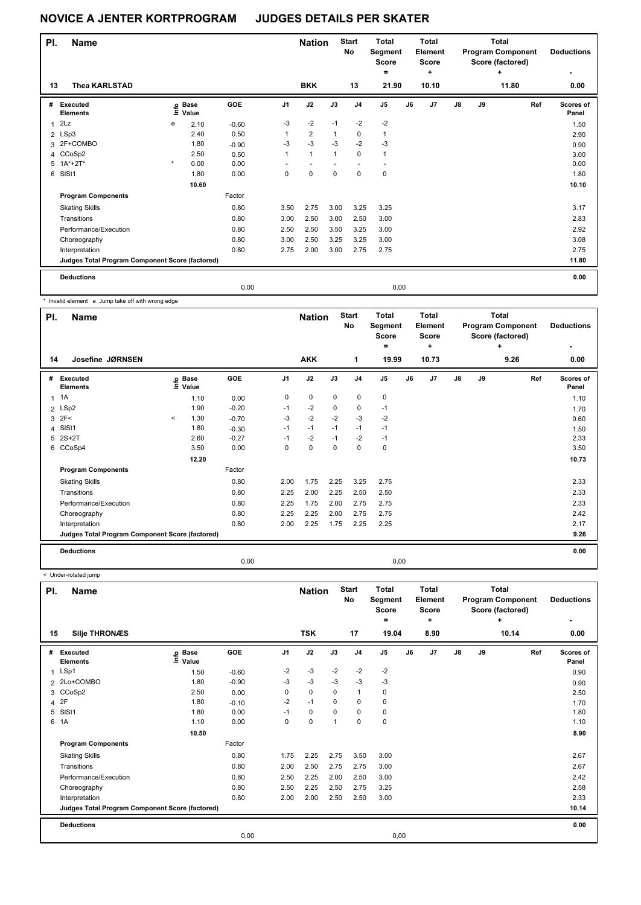| PI. | <b>Name</b>                                     |         |                   |         |                | <b>Nation</b>  |              | <b>Start</b><br>No | <b>Total</b><br>Segment<br><b>Score</b><br>۰ |      | Total<br>Element<br><b>Score</b><br>$\ddot{}$ |    |    | Total<br><b>Program Component</b><br>Score (factored)<br>٠ | <b>Deductions</b>         |
|-----|-------------------------------------------------|---------|-------------------|---------|----------------|----------------|--------------|--------------------|----------------------------------------------|------|-----------------------------------------------|----|----|------------------------------------------------------------|---------------------------|
| 13  | <b>Thea KARLSTAD</b>                            |         |                   |         |                | <b>BKK</b>     |              | 13                 | 21.90                                        |      | 10.10                                         |    |    | 11.80                                                      | 0.00                      |
| #   | Executed<br><b>Elements</b>                     |         | e Base<br>⊆ Value | GOE     | J <sub>1</sub> | J2             | J3           | J <sub>4</sub>     | J <sub>5</sub>                               | J6   | J <sub>7</sub>                                | J8 | J9 | Ref                                                        | <b>Scores of</b><br>Panel |
| 1   | 2Lz                                             | e       | 2.10              | $-0.60$ | $-3$           | $-2$           | $-1$         | $-2$               | $-2$                                         |      |                                               |    |    |                                                            | 1.50                      |
|     | 2 LSp3                                          |         | 2.40              | 0.50    | 1              | $\overline{2}$ | $\mathbf{1}$ | 0                  | $\mathbf{1}$                                 |      |                                               |    |    |                                                            | 2.90                      |
|     | 3 2F+COMBO                                      |         | 1.80              | $-0.90$ | $-3$           | $-3$           | $-3$         | $-2$               | $-3$                                         |      |                                               |    |    |                                                            | 0.90                      |
|     | 4 CCoSp2                                        |         | 2.50              | 0.50    | 1              | $\mathbf{1}$   | $\mathbf{1}$ | 0                  | 1                                            |      |                                               |    |    |                                                            | 3.00                      |
| 5   | $1A^*+2T^*$                                     | $\star$ | 0.00              | 0.00    |                |                |              |                    |                                              |      |                                               |    |    |                                                            | 0.00                      |
| 6   | SISt1                                           |         | 1.80              | 0.00    | 0              | 0              | $\mathbf 0$  | $\Omega$           | $\mathbf 0$                                  |      |                                               |    |    |                                                            | 1.80                      |
|     |                                                 |         | 10.60             |         |                |                |              |                    |                                              |      |                                               |    |    |                                                            | 10.10                     |
|     | <b>Program Components</b>                       |         |                   | Factor  |                |                |              |                    |                                              |      |                                               |    |    |                                                            |                           |
|     | <b>Skating Skills</b>                           |         |                   | 0.80    | 3.50           | 2.75           | 3.00         | 3.25               | 3.25                                         |      |                                               |    |    |                                                            | 3.17                      |
|     | Transitions                                     |         |                   | 0.80    | 3.00           | 2.50           | 3.00         | 2.50               | 3.00                                         |      |                                               |    |    |                                                            | 2.83                      |
|     | Performance/Execution                           |         |                   | 0.80    | 2.50           | 2.50           | 3.50         | 3.25               | 3.00                                         |      |                                               |    |    |                                                            | 2.92                      |
|     | Choreography                                    |         |                   | 0.80    | 3.00           | 2.50           | 3.25         | 3.25               | 3.00                                         |      |                                               |    |    |                                                            | 3.08                      |
|     | Interpretation                                  |         |                   | 0.80    | 2.75           | 2.00           | 3.00         | 2.75               | 2.75                                         |      |                                               |    |    |                                                            | 2.75                      |
|     | Judges Total Program Component Score (factored) |         |                   |         |                |                |              |                    |                                              |      |                                               |    |    |                                                            | 11.80                     |
|     | <b>Deductions</b>                               |         |                   |         |                |                |              |                    |                                              |      |                                               |    |    |                                                            | 0.00                      |
|     |                                                 |         |                   | 0.00    |                |                |              |                    |                                              | 0,00 |                                               |    |    |                                                            |                           |

\* Invalid element e Jump take off with wrong edge

| PI. | <b>Name</b>                                     |          |                   |            |                | <b>Nation</b> |             | <b>Start</b><br><b>No</b> | <b>Total</b><br>Segment<br><b>Score</b><br>۰ |    | <b>Total</b><br>Element<br><b>Score</b><br>÷ |               |    | <b>Total</b><br><b>Program Component</b><br>Score (factored)<br>٠ | <b>Deductions</b>  |
|-----|-------------------------------------------------|----------|-------------------|------------|----------------|---------------|-------------|---------------------------|----------------------------------------------|----|----------------------------------------------|---------------|----|-------------------------------------------------------------------|--------------------|
| 14  | Josefine JØRNSEN                                |          |                   |            |                | <b>AKK</b>    |             | 1                         | 19.99                                        |    | 10.73                                        |               |    | 9.26                                                              | 0.00               |
| #   | Executed<br><b>Elements</b>                     |          | e Base<br>⊆ Value | <b>GOE</b> | J <sub>1</sub> | J2            | J3          | J <sub>4</sub>            | J5                                           | J6 | J7                                           | $\mathsf{J}8$ | J9 | Ref                                                               | Scores of<br>Panel |
|     | $1 \t1A$                                        |          | 1.10              | 0.00       | 0              | $\pmb{0}$     | $\mathbf 0$ | $\mathbf 0$               | $\pmb{0}$                                    |    |                                              |               |    |                                                                   | 1.10               |
|     | 2 LSp2                                          |          | 1.90              | $-0.20$    | $-1$           | $-2$          | 0           | 0                         | $-1$                                         |    |                                              |               |    |                                                                   | 1.70               |
| 3   | 2F<                                             | $\hat{}$ | 1.30              | $-0.70$    | $-3$           | $-2$          | $-2$        | $-3$                      | -2                                           |    |                                              |               |    |                                                                   | 0.60               |
| 4   | SISt1                                           |          | 1.80              | $-0.30$    | $-1$           | $-1$          | $-1$        | $-1$                      | $-1$                                         |    |                                              |               |    |                                                                   | 1.50               |
| 5   | $2S+2T$                                         |          | 2.60              | $-0.27$    | $-1$           | $-2$          | $-1$        | $-2$                      | $-1$                                         |    |                                              |               |    |                                                                   | 2.33               |
|     | 6 CCoSp4                                        |          | 3.50              | 0.00       | 0              | $\mathbf 0$   | 0           | 0                         | $\pmb{0}$                                    |    |                                              |               |    |                                                                   | 3.50               |
|     |                                                 |          | 12.20             |            |                |               |             |                           |                                              |    |                                              |               |    |                                                                   | 10.73              |
|     | <b>Program Components</b>                       |          |                   | Factor     |                |               |             |                           |                                              |    |                                              |               |    |                                                                   |                    |
|     | <b>Skating Skills</b>                           |          |                   | 0.80       | 2.00           | 1.75          | 2.25        | 3.25                      | 2.75                                         |    |                                              |               |    |                                                                   | 2.33               |
|     | Transitions                                     |          |                   | 0.80       | 2.25           | 2.00          | 2.25        | 2.50                      | 2.50                                         |    |                                              |               |    |                                                                   | 2.33               |
|     | Performance/Execution                           |          |                   | 0.80       | 2.25           | 1.75          | 2.00        | 2.75                      | 2.75                                         |    |                                              |               |    |                                                                   | 2.33               |
|     | Choreography                                    |          |                   | 0.80       | 2.25           | 2.25          | 2.00        | 2.75                      | 2.75                                         |    |                                              |               |    |                                                                   | 2.42               |
|     | Interpretation                                  |          |                   | 0.80       | 2.00           | 2.25          | 1.75        | 2.25                      | 2.25                                         |    |                                              |               |    |                                                                   | 2.17               |
|     | Judges Total Program Component Score (factored) |          |                   |            |                |               |             |                           |                                              |    |                                              |               |    |                                                                   | 9.26               |
|     | <b>Deductions</b>                               |          |                   |            |                |               |             |                           |                                              |    |                                              |               |    |                                                                   | 0.00               |
|     |                                                 |          |                   | 0,00       |                |               |             |                           | 0,00                                         |    |                                              |               |    |                                                                   |                    |

< Under-rotated jump

| PI.            | <b>Name</b>                                     |                   |         |      | <b>Nation</b> |                | <b>Start</b><br><b>No</b> | Total<br>Segment<br><b>Score</b><br>۰ |    | Total<br><b>Element</b><br><b>Score</b><br>÷ |    |       | Total<br><b>Program Component</b><br>Score (factored)<br>٠ | <b>Deductions</b>  |
|----------------|-------------------------------------------------|-------------------|---------|------|---------------|----------------|---------------------------|---------------------------------------|----|----------------------------------------------|----|-------|------------------------------------------------------------|--------------------|
| 15             | <b>Silje THRONÆS</b>                            |                   |         |      | <b>TSK</b>    |                | 17                        | 19.04                                 |    | 8.90                                         |    |       | 10.14                                                      | 0.00               |
| #              | <b>Executed</b><br><b>Elements</b>              | e Base<br>⊑ Value | GOE     | J1   | J2            | J3             | J <sub>4</sub>            | J5                                    | J6 | J <sub>7</sub>                               | J8 | J9    | Ref                                                        | Scores of<br>Panel |
| $\mathbf{1}$   | LSp1                                            | 1.50              | $-0.60$ | $-2$ | $-3$          | $-2$           | $-2$                      | $-2$                                  |    |                                              |    |       |                                                            | 0.90               |
|                | 2 2Lo+COMBO                                     | 1.80              | $-0.90$ | $-3$ | $-3$          | $-3$           | $-3$                      | $-3$                                  |    |                                              |    |       |                                                            | 0.90               |
| 3              | CCoSp2                                          | 2.50              | 0.00    | 0    | $\mathbf 0$   | $\mathbf 0$    | $\mathbf{1}$              | 0                                     |    |                                              |    |       |                                                            | 2.50               |
| $\overline{4}$ | 2F                                              | 1.80              | $-0.10$ | $-2$ | $-1$          | $\mathbf 0$    | $\mathbf 0$               | 0                                     |    |                                              |    |       |                                                            | 1.70               |
| 5              | SISt1                                           | 1.80              | 0.00    | $-1$ | 0             | 0              | 0                         | 0                                     |    |                                              |    |       |                                                            | 1.80               |
| 6              | 1A                                              | 1.10              | 0.00    | 0    | 0             | $\overline{1}$ | $\mathbf 0$               | 0                                     |    |                                              |    |       |                                                            | 1.10               |
|                |                                                 | 10.50             |         |      |               |                |                           |                                       |    |                                              |    |       |                                                            | 8.90               |
|                | <b>Program Components</b>                       |                   | Factor  |      |               |                |                           |                                       |    |                                              |    |       |                                                            |                    |
|                | <b>Skating Skills</b>                           |                   | 0.80    | 1.75 | 2.25          | 2.75           | 3.50                      | 3.00                                  |    |                                              |    |       |                                                            | 2.67               |
|                | Transitions                                     |                   | 0.80    | 2.00 | 2.50          | 2.75           | 2.75                      | 3.00                                  |    |                                              |    |       |                                                            | 2.67               |
|                | Performance/Execution                           |                   | 0.80    | 2.50 | 2.25          | 2.00           | 2.50                      | 3.00                                  |    |                                              |    |       |                                                            | 2.42               |
|                | Choreography                                    |                   | 0.80    | 2.50 | 2.25          | 2.50           | 2.75                      | 3.25                                  |    |                                              |    |       |                                                            | 2.58               |
|                | Interpretation                                  |                   | 0.80    | 2.00 | 2.00          | 2.50           | 2.50                      | 3.00                                  |    |                                              |    |       |                                                            | 2.33               |
|                | Judges Total Program Component Score (factored) |                   |         |      |               |                |                           |                                       |    |                                              |    | 10.14 |                                                            |                    |
|                | <b>Deductions</b>                               |                   |         |      |               |                |                           |                                       |    |                                              |    |       |                                                            | 0.00               |
|                |                                                 |                   | 0,00    |      |               |                |                           | 0,00                                  |    |                                              |    |       |                                                            |                    |